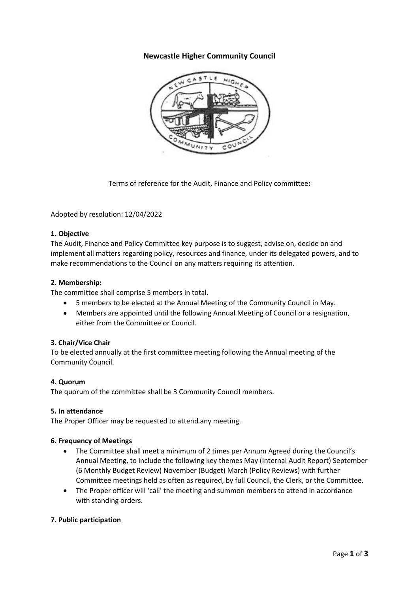# **Newcastle Higher Community Council**



Terms of reference for the Audit, Finance and Policy committee**:**

Adopted by resolution: 12/04/2022

# **1. Objective**

The Audit, Finance and Policy Committee key purpose is to suggest, advise on, decide on and implement all matters regarding policy, resources and finance, under its delegated powers, and to make recommendations to the Council on any matters requiring its attention.

### **2. Membership:**

The committee shall comprise 5 members in total.

- 5 members to be elected at the Annual Meeting of the Community Council in May.
- Members are appointed until the following Annual Meeting of Council or a resignation, either from the Committee or Council.

# **3. Chair/Vice Chair**

To be elected annually at the first committee meeting following the Annual meeting of the Community Council.

#### **4. Quorum**

The quorum of the committee shall be 3 Community Council members.

# **5. In attendance**

The Proper Officer may be requested to attend any meeting.

# **6. Frequency of Meetings**

- The Committee shall meet a minimum of 2 times per Annum Agreed during the Council's Annual Meeting, to include the following key themes May (Internal Audit Report) September (6 Monthly Budget Review) November (Budget) March (Policy Reviews) with further Committee meetings held as often as required, by full Council, the Clerk, or the Committee.
- The Proper officer will 'call' the meeting and summon members to attend in accordance with standing orders.

#### **7. Public participation**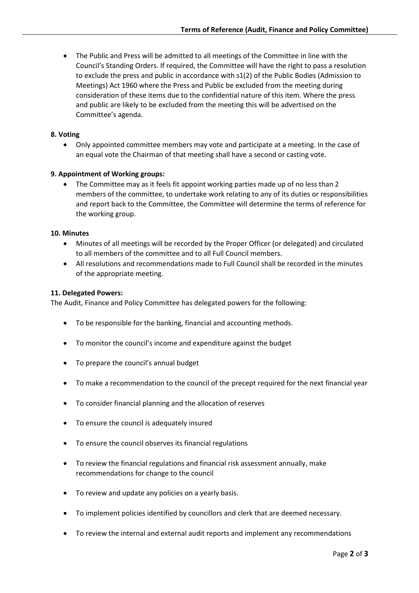• The Public and Press will be admitted to all meetings of the Committee in line with the Council's Standing Orders. If required, the Committee will have the right to pass a resolution to exclude the press and public in accordance with s1(2) of the Public Bodies (Admission to Meetings) Act 1960 where the Press and Public be excluded from the meeting during consideration of these items due to the confidential nature of this item. Where the press and public are likely to be excluded from the meeting this will be advertised on the Committee's agenda.

### **8. Voting**

• Only appointed committee members may vote and participate at a meeting. In the case of an equal vote the Chairman of that meeting shall have a second or casting vote.

### **9. Appointment of Working groups:**

• The Committee may as it feels fit appoint working parties made up of no less than 2 members of the committee, to undertake work relating to any of its duties or responsibilities and report back to the Committee, the Committee will determine the terms of reference for the working group.

#### **10. Minutes**

- Minutes of all meetings will be recorded by the Proper Officer (or delegated) and circulated to all members of the committee and to all Full Council members.
- All resolutions and recommendations made to Full Council shall be recorded in the minutes of the appropriate meeting.

### **11. Delegated Powers:**

The Audit, Finance and Policy Committee has delegated powers for the following:

- To be responsible for the banking, financial and accounting methods.
- To monitor the council's income and expenditure against the budget
- To prepare the council's annual budget
- To make a recommendation to the council of the precept required for the next financial year
- To consider financial planning and the allocation of reserves
- To ensure the council is adequately insured
- To ensure the council observes its financial regulations
- To review the financial regulations and financial risk assessment annually, make recommendations for change to the council
- To review and update any policies on a yearly basis.
- To implement policies identified by councillors and clerk that are deemed necessary.
- To review the internal and external audit reports and implement any recommendations